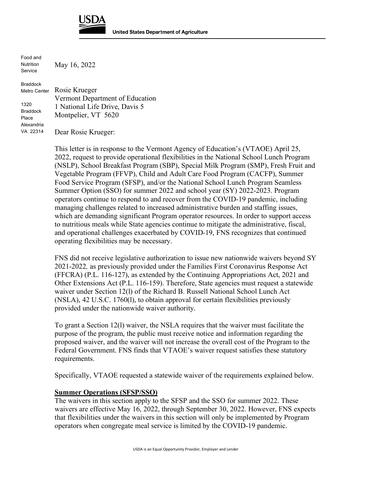

Food and Nutrition Service

May 16, 2022

Braddock Metro Center 1320 Braddock Place Alexandria VA 22314 Rosie Krueger Vermont Department of Education 1 National Life Drive, Davis 5 Montpelier, VT 5620 Dear Rosie Krueger:

> This letter is in response to the Vermont Agency of Education's (VTAOE) April 25, 2022, request to provide operational flexibilities in the National School Lunch Program (NSLP), School Breakfast Program (SBP), Special Milk Program (SMP), Fresh Fruit and Vegetable Program (FFVP), Child and Adult Care Food Program (CACFP), Summer Food Service Program (SFSP), and/or the National School Lunch Program Seamless Summer Option (SSO) for summer 2022 and school year (SY) 2022-2023. Program operators continue to respond to and recover from the COVID-19 pandemic, including managing challenges related to increased administrative burden and staffing issues, which are demanding significant Program operator resources. In order to support access to nutritious meals while State agencies continue to mitigate the administrative, fiscal, and operational challenges exacerbated by COVID-19, FNS recognizes that continued operating flexibilities may be necessary.

> FNS did not receive legislative authorization to issue new nationwide waivers beyond SY 2021-2022*,* as previously provided under the Families First Coronavirus Response Act (FFCRA) (P.L. 116-127), as extended by the Continuing Appropriations Act, 2021 and Other Extensions Act (P.L. 116-159). Therefore, State agencies must request a statewide waiver under Section 12(l) of the Richard B. Russell National School Lunch Act (NSLA), 42 U.S.C. 1760(l), to obtain approval for certain flexibilities previously provided under the nationwide waiver authority.

To grant a Section 12(l) waiver, the NSLA requires that the waiver must facilitate the purpose of the program, the public must receive notice and information regarding the proposed waiver, and the waiver will not increase the overall cost of the Program to the Federal Government. FNS finds that VTAOE's waiver request satisfies these statutory requirements.

Specifically, VTAOE requested a statewide waiver of the requirements explained below.

## **Summer Operations (SFSP/SSO)**

The waivers in this section apply to the SFSP and the SSO for summer 2022. These waivers are effective May 16, 2022, through September 30, 2022. However, FNS expects that flexibilities under the waivers in this section will only be implemented by Program operators when congregate meal service is limited by the COVID-19 pandemic.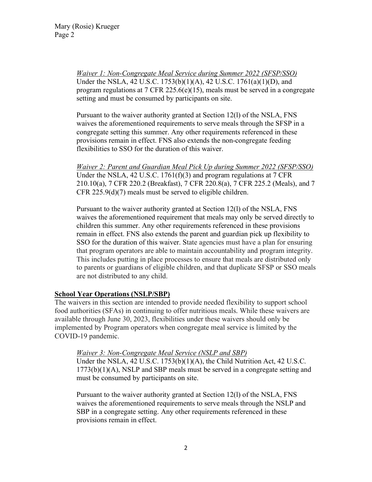*Waiver 1: Non-Congregate Meal Service during Summer 2022 (SFSP/SSO)*  Under the NSLA, 42 U.S.C. 1753(b)(1)(A), 42 U.S.C. 1761(a)(1)(D), and program regulations at 7 CFR 225.6(e)(15), meals must be served in a congregate setting and must be consumed by participants on site.

Pursuant to the waiver authority granted at Section 12(l) of the NSLA, FNS waives the aforementioned requirements to serve meals through the SFSP in a congregate setting this summer. Any other requirements referenced in these provisions remain in effect. FNS also extends the non-congregate feeding flexibilities to SSO for the duration of this waiver.

*Waiver 2: Parent and Guardian Meal Pick Up during Summer 2022 (SFSP/SSO)*  Under the NSLA, 42 U.S.C. 1761(f)(3) and program regulations at 7 CFR 210.10(a), 7 CFR 220.2 (Breakfast), 7 CFR 220.8(a), 7 CFR 225.2 (Meals), and 7 CFR 225.9(d)(7) meals must be served to eligible children.

Pursuant to the waiver authority granted at Section 12(l) of the NSLA, FNS waives the aforementioned requirement that meals may only be served directly to children this summer. Any other requirements referenced in these provisions remain in effect. FNS also extends the parent and guardian pick up flexibility to SSO for the duration of this waiver. State agencies must have a plan for ensuring that program operators are able to maintain accountability and program integrity. This includes putting in place processes to ensure that meals are distributed only to parents or guardians of eligible children, and that duplicate SFSP or SSO meals are not distributed to any child.

# **School Year Operations (NSLP/SBP)**

The waivers in this section are intended to provide needed flexibility to support school food authorities (SFAs) in continuing to offer nutritious meals. While these waivers are available through June 30, 2023, flexibilities under these waivers should only be implemented by Program operators when congregate meal service is limited by the COVID-19 pandemic.

## *Waiver 3: Non-Congregate Meal Service (NSLP and SBP)*

Under the NSLA, 42 U.S.C. 1753(b)(1)(A), the Child Nutrition Act, 42 U.S.C. 1773(b)(1)(A), NSLP and SBP meals must be served in a congregate setting and must be consumed by participants on site.

Pursuant to the waiver authority granted at Section 12(l) of the NSLA, FNS waives the aforementioned requirements to serve meals through the NSLP and SBP in a congregate setting. Any other requirements referenced in these provisions remain in effect.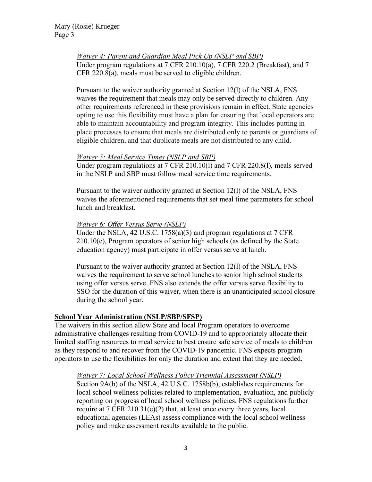*Waiver 4: Parent and Guardian Meal Pick Up (NSLP and SBP)* Under program regulations at 7 CFR 210.10(a), 7 CFR 220.2 (Breakfast), and 7 CFR 220.8(a), meals must be served to eligible children.

Pursuant to the waiver authority granted at Section 12(l) of the NSLA, FNS waives the requirement that meals may only be served directly to children. Any other requirements referenced in these provisions remain in effect. State agencies opting to use this flexibility must have a plan for ensuring that local operators are able to maintain accountability and program integrity. This includes putting in place processes to ensure that meals are distributed only to parents or guardians of eligible children, and that duplicate meals are not distributed to any child.

## *Waiver 5: Meal Service Times (NSLP and SBP)*

Under program regulations at 7 CFR 210.10(l) and 7 CFR 220.8(l), meals served in the NSLP and SBP must follow meal service time requirements.

Pursuant to the waiver authority granted at Section 12(l) of the NSLA, FNS waives the aforementioned requirements that set meal time parameters for school lunch and breakfast.

## *Waiver 6: Offer Versus Serve (NSLP)*

Under the NSLA, 42 U.S.C. 1758(a)(3) and program regulations at 7 CFR  $210.10(e)$ , Program operators of senior high schools (as defined by the State education agency) must participate in offer versus serve at lunch.

Pursuant to the waiver authority granted at Section 12(l) of the NSLA, FNS waives the requirement to serve school lunches to senior high school students using offer versus serve. FNS also extends the offer versus serve flexibility to SSO for the duration of this waiver, when there is an unanticipated school closure during the school year.

# **School Year Administration (NSLP/SBP/SFSP)**

The waivers in this section allow State and local Program operators to overcome administrative challenges resulting from COVID-19 and to appropriately allocate their limited staffing resources to meal service to best ensure safe service of meals to children as they respond to and recover from the COVID-19 pandemic. FNS expects program operators to use the flexibilities for only the duration and extent that they are needed.

## *Waiver 7: Local School Wellness Policy Triennial Assessment (NSLP)*

Section 9A(b) of the NSLA, 42 U.S.C. 1758b(b), establishes requirements for local school wellness policies related to implementation, evaluation, and publicly reporting on progress of local school wellness policies. FNS regulations further require at 7 CFR 210.31(e)(2) that, at least once every three years, local educational agencies (LEAs) assess compliance with the local school wellness policy and make assessment results available to the public.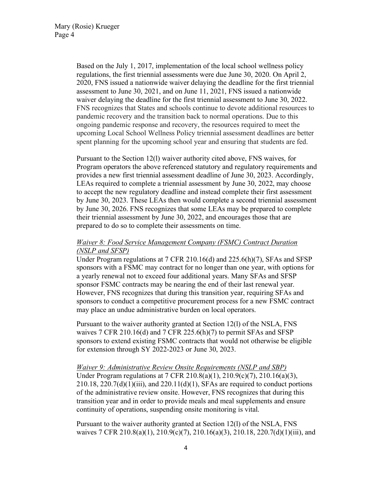Based on the July 1, 2017, implementation of the local school wellness policy regulations, the first triennial assessments were due June 30, 2020. On April 2, 2020, FNS issued a nationwide waiver delaying the deadline for the first triennial assessment to June 30, 2021, and on June 11, 2021, FNS issued a nationwide waiver delaying the deadline for the first triennial assessment to June 30, 2022. FNS recognizes that States and schools continue to devote additional resources to pandemic recovery and the transition back to normal operations. Due to this ongoing pandemic response and recovery, the resources required to meet the upcoming Local School Wellness Policy triennial assessment deadlines are better spent planning for the upcoming school year and ensuring that students are fed.

Pursuant to the Section 12(l) waiver authority cited above, FNS waives, for Program operators the above referenced statutory and regulatory requirements and provides a new first triennial assessment deadline of June 30, 2023. Accordingly, LEAs required to complete a triennial assessment by June 30, 2022, may choose to accept the new regulatory deadline and instead complete their first assessment by June 30, 2023. These LEAs then would complete a second triennial assessment by June 30, 2026. FNS recognizes that some LEAs may be prepared to complete their triennial assessment by June 30, 2022, and encourages those that are prepared to do so to complete their assessments on time.

## *Waiver 8: Food Service Management Company (FSMC) Contract Duration (NSLP and SFSP)*

Under Program regulations at 7 CFR 210.16(d) and 225.6(h)(7), SFAs and SFSP sponsors with a FSMC may contract for no longer than one year, with options for a yearly renewal not to exceed four additional years. Many SFAs and SFSP sponsor FSMC contracts may be nearing the end of their last renewal year. However, FNS recognizes that during this transition year, requiring SFAs and sponsors to conduct a competitive procurement process for a new FSMC contract may place an undue administrative burden on local operators.

Pursuant to the waiver authority granted at Section 12(l) of the NSLA, FNS waives 7 CFR 210.16(d) and 7 CFR 225.6(h)(7) to permit SFAs and SFSP sponsors to extend existing FSMC contracts that would not otherwise be eligible for extension through SY 2022-2023 or June 30, 2023.

## *Waiver 9: Administrative Review Onsite Requirements (NSLP and SBP)* Under Program regulations at 7 CFR 210.8(a)(1), 210.9(c)(7), 210.16(a)(3),  $210.18$ ,  $220.7(d)(1)(iii)$ , and  $220.11(d)(1)$ , SFAs are required to conduct portions of the administrative review onsite. However, FNS recognizes that during this transition year and in order to provide meals and meal supplements and ensure continuity of operations, suspending onsite monitoring is vital.

Pursuant to the waiver authority granted at Section 12(l) of the NSLA, FNS waives 7 CFR 210.8(a)(1), 210.9(c)(7), 210.16(a)(3), 210.18, 220.7(d)(1)(iii), and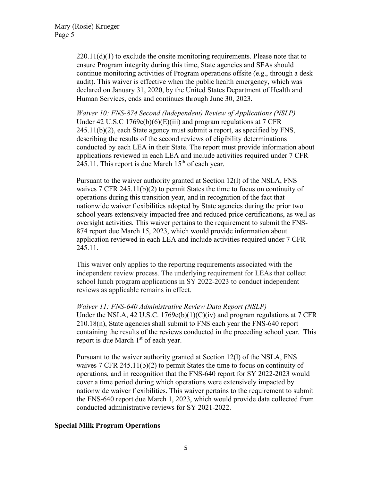$220.11(d)(1)$  to exclude the onsite monitoring requirements. Please note that to ensure Program integrity during this time, State agencies and SFAs should continue monitoring activities of Program operations offsite (e.g., through a desk audit). This waiver is effective when the public health emergency, which was declared on January 31, 2020, by the United States Department of Health and Human Services, ends and continues through June 30, 2023.

*Waiver 10: FNS-874 Second (Independent) Review of Applications (NSLP)* Under 42 U.S.C 1769c(b)(6)(E)(iii) and program regulations at 7 CFR 245.11(b)(2), each State agency must submit a report, as specified by FNS, describing the results of the second reviews of eligibility determinations conducted by each LEA in their State. The report must provide information about applications reviewed in each LEA and include activities required under 7 CFR 245.11. This report is due March  $15<sup>th</sup>$  of each year.

Pursuant to the waiver authority granted at Section 12(l) of the NSLA, FNS waives 7 CFR 245.11(b)(2) to permit States the time to focus on continuity of operations during this transition year, and in recognition of the fact that nationwide waiver flexibilities adopted by State agencies during the prior two school years extensively impacted free and reduced price certifications, as well as oversight activities. This waiver pertains to the requirement to submit the FNS-874 report due March 15, 2023, which would provide information about application reviewed in each LEA and include activities required under 7 CFR 245.11.

This waiver only applies to the reporting requirements associated with the independent review process. The underlying requirement for LEAs that collect school lunch program applications in SY 2022-2023 to conduct independent reviews as applicable remains in effect.

## *Waiver 11: FNS-640 Administrative Review Data Report (NSLP)*

Under the NSLA, 42 U.S.C.  $1769c(b)(1)(C)(iv)$  and program regulations at 7 CFR 210.18(n), State agencies shall submit to FNS each year the FNS-640 report containing the results of the reviews conducted in the preceding school year. This report is due March 1<sup>st</sup> of each year.

Pursuant to the waiver authority granted at Section 12(l) of the NSLA, FNS waives 7 CFR 245.11(b)(2) to permit States the time to focus on continuity of operations, and in recognition that the FNS-640 report for SY 2022-2023 would cover a time period during which operations were extensively impacted by nationwide waiver flexibilities. This waiver pertains to the requirement to submit the FNS-640 report due March 1, 2023, which would provide data collected from conducted administrative reviews for SY 2021-2022.

## **Special Milk Program Operations**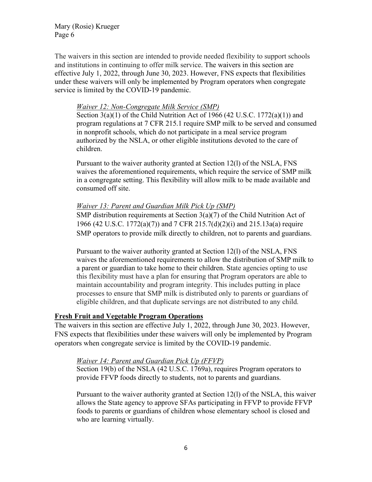Mary (Rosie) Krueger Page 6

The waivers in this section are intended to provide needed flexibility to support schools and institutions in continuing to offer milk service. The waivers in this section are effective July 1, 2022, through June 30, 2023. However, FNS expects that flexibilities under these waivers will only be implemented by Program operators when congregate service is limited by the COVID-19 pandemic.

#### *Waiver 12: Non-Congregate Milk Service (SMP)*

Section  $3(a)(1)$  of the Child Nutrition Act of 1966 (42 U.S.C. 1772 $(a)(1)$ ) and program regulations at 7 CFR 215.1 require SMP milk to be served and consumed in nonprofit schools, which do not participate in a meal service program authorized by the NSLA, or other eligible institutions devoted to the care of children.

Pursuant to the waiver authority granted at Section 12(l) of the NSLA, FNS waives the aforementioned requirements, which require the service of SMP milk in a congregate setting. This flexibility will allow milk to be made available and consumed off site.

#### *Waiver 13: Parent and Guardian Milk Pick Up (SMP)*

SMP distribution requirements at Section 3(a)(7) of the Child Nutrition Act of 1966 (42 U.S.C. 1772(a)(7)) and 7 CFR 215.7(d)(2)(i) and 215.13a(a) require SMP operators to provide milk directly to children, not to parents and guardians.

Pursuant to the waiver authority granted at Section 12(l) of the NSLA, FNS waives the aforementioned requirements to allow the distribution of SMP milk to a parent or guardian to take home to their children. State agencies opting to use this flexibility must have a plan for ensuring that Program operators are able to maintain accountability and program integrity. This includes putting in place processes to ensure that SMP milk is distributed only to parents or guardians of eligible children, and that duplicate servings are not distributed to any child.

### **Fresh Fruit and Vegetable Program Operations**

The waivers in this section are effective July 1, 2022, through June 30, 2023. However, FNS expects that flexibilities under these waivers will only be implemented by Program operators when congregate service is limited by the COVID-19 pandemic.

#### *Waiver 14: Parent and Guardian Pick Up (FFVP)*

Section 19(b) of the NSLA (42 U.S.C. 1769a), requires Program operators to provide FFVP foods directly to students, not to parents and guardians.

Pursuant to the waiver authority granted at Section 12(l) of the NSLA, this waiver allows the State agency to approve SFAs participating in FFVP to provide FFVP foods to parents or guardians of children whose elementary school is closed and who are learning virtually.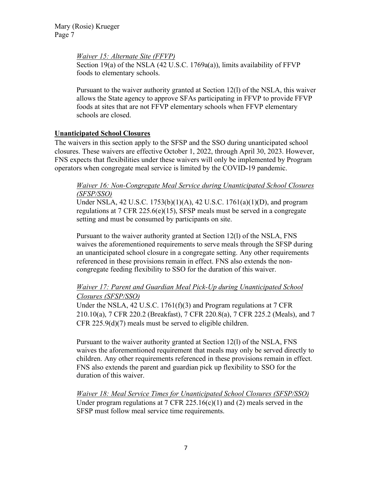*Waiver 15: Alternate Site (FFVP)*

Section 19(a) of the NSLA (42 U.S.C. 1769a(a)), limits availability of FFVP foods to elementary schools.

Pursuant to the waiver authority granted at Section 12(l) of the NSLA, this waiver allows the State agency to approve SFAs participating in FFVP to provide FFVP foods at sites that are not FFVP elementary schools when FFVP elementary schools are closed.

# **Unanticipated School Closures**

The waivers in this section apply to the SFSP and the SSO during unanticipated school closures. These waivers are effective October 1, 2022, through April 30, 2023. However, FNS expects that flexibilities under these waivers will only be implemented by Program operators when congregate meal service is limited by the COVID-19 pandemic.

## *Waiver 16: Non-Congregate Meal Service during Unanticipated School Closures (SFSP/SSO)*

Under NSLA, 42 U.S.C. 1753(b)(1)(A), 42 U.S.C. 1761(a)(1)(D), and program regulations at 7 CFR 225.6(e)(15), SFSP meals must be served in a congregate setting and must be consumed by participants on site.

Pursuant to the waiver authority granted at Section 12(l) of the NSLA, FNS waives the aforementioned requirements to serve meals through the SFSP during an unanticipated school closure in a congregate setting. Any other requirements referenced in these provisions remain in effect. FNS also extends the noncongregate feeding flexibility to SSO for the duration of this waiver.

# *Waiver 17: Parent and Guardian Meal Pick-Up during Unanticipated School Closures (SFSP/SSO)*

Under the NSLA, 42 U.S.C. 1761(f)(3) and Program regulations at 7 CFR 210.10(a), 7 CFR 220.2 (Breakfast), 7 CFR 220.8(a), 7 CFR 225.2 (Meals), and 7 CFR 225.9(d)(7) meals must be served to eligible children.

Pursuant to the waiver authority granted at Section 12(l) of the NSLA, FNS waives the aforementioned requirement that meals may only be served directly to children. Any other requirements referenced in these provisions remain in effect. FNS also extends the parent and guardian pick up flexibility to SSO for the duration of this waiver.

*Waiver 18: Meal Service Times for Unanticipated School Closures (SFSP/SSO)*  Under program regulations at 7 CFR 225.16(c)(1) and (2) meals served in the SFSP must follow meal service time requirements.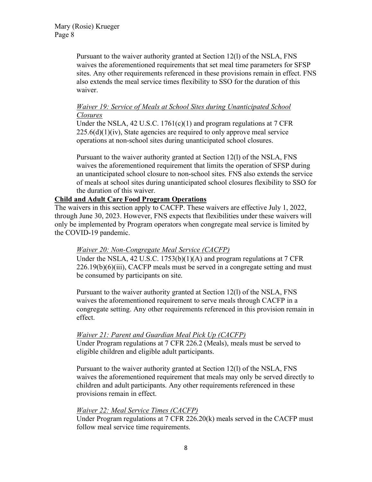Pursuant to the waiver authority granted at Section 12(l) of the NSLA, FNS waives the aforementioned requirements that set meal time parameters for SFSP sites. Any other requirements referenced in these provisions remain in effect. FNS also extends the meal service times flexibility to SSO for the duration of this waiver.

## *Waiver 19: Service of Meals at School Sites during Unanticipated School Closures*

Under the NSLA, 42 U.S.C. 1761(c)(1) and program regulations at 7 CFR  $225.6(d)(1)(iv)$ , State agencies are required to only approve meal service operations at non-school sites during unanticipated school closures.

Pursuant to the waiver authority granted at Section 12(l) of the NSLA, FNS waives the aforementioned requirement that limits the operation of SFSP during an unanticipated school closure to non-school sites. FNS also extends the service of meals at school sites during unanticipated school closures flexibility to SSO for the duration of this waiver.

# **Child and Adult Care Food Program Operations**

The waivers in this section apply to CACFP. These waivers are effective July 1, 2022, through June 30, 2023. However, FNS expects that flexibilities under these waivers will only be implemented by Program operators when congregate meal service is limited by the COVID-19 pandemic.

# *Waiver 20: Non-Congregate Meal Service (CACFP)*

Under the NSLA, 42 U.S.C. 1753(b)(1)(A) and program regulations at 7 CFR 226.19(b)(6)(iii), CACFP meals must be served in a congregate setting and must be consumed by participants on site.

Pursuant to the waiver authority granted at Section 12(l) of the NSLA, FNS waives the aforementioned requirement to serve meals through CACFP in a congregate setting. Any other requirements referenced in this provision remain in effect.

# *Waiver 21: Parent and Guardian Meal Pick Up (CACFP)*

Under Program regulations at 7 CFR 226.2 (Meals), meals must be served to eligible children and eligible adult participants.

Pursuant to the waiver authority granted at Section 12(l) of the NSLA, FNS waives the aforementioned requirement that meals may only be served directly to children and adult participants. Any other requirements referenced in these provisions remain in effect.

## *Waiver 22: Meal Service Times (CACFP)*

Under Program regulations at 7 CFR 226.20(k) meals served in the CACFP must follow meal service time requirements.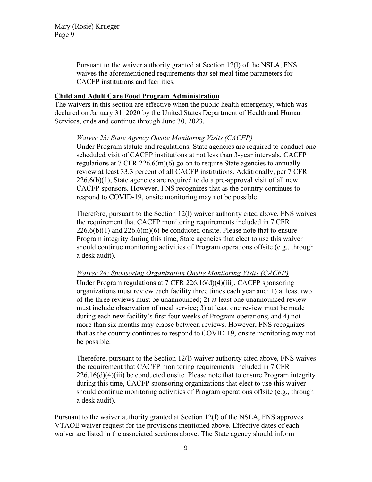Pursuant to the waiver authority granted at Section 12(l) of the NSLA, FNS waives the aforementioned requirements that set meal time parameters for CACFP institutions and facilities.

### **Child and Adult Care Food Program Administration**

The waivers in this section are effective when the public health emergency, which was declared on January 31, 2020 by the United States Department of Health and Human Services, ends and continue through June 30, 2023.

### *Waiver 23: State Agency Onsite Monitoring Visits (CACFP)*

Under Program statute and regulations, State agencies are required to conduct one scheduled visit of CACFP institutions at not less than 3-year intervals. CACFP regulations at  $7 \text{ CFR } 226.6 \text{ (m)}(6)$  go on to require State agencies to annually review at least 33.3 percent of all CACFP institutions. Additionally, per 7 CFR  $226.6(b)(1)$ , State agencies are required to do a pre-approval visit of all new CACFP sponsors. However, FNS recognizes that as the country continues to respond to COVID-19, onsite monitoring may not be possible.

Therefore, pursuant to the Section 12(l) waiver authority cited above, FNS waives the requirement that CACFP monitoring requirements included in 7 CFR  $226.6(b)(1)$  and  $226.6(m)(6)$  be conducted onsite. Please note that to ensure Program integrity during this time, State agencies that elect to use this waiver should continue monitoring activities of Program operations offsite (e.g., through a desk audit).

## *Waiver 24: Sponsoring Organization Onsite Monitoring Visits (CACFP)*

Under Program regulations at 7 CFR 226.16(d)(4)(iii), CACFP sponsoring organizations must review each facility three times each year and: 1) at least two of the three reviews must be unannounced; 2) at least one unannounced review must include observation of meal service; 3) at least one review must be made during each new facility's first four weeks of Program operations; and 4) not more than six months may elapse between reviews. However, FNS recognizes that as the country continues to respond to COVID-19, onsite monitoring may not be possible.

Therefore, pursuant to the Section 12(l) waiver authority cited above, FNS waives the requirement that CACFP monitoring requirements included in 7 CFR  $226.16(d)(4)(iii)$  be conducted onsite. Please note that to ensure Program integrity during this time, CACFP sponsoring organizations that elect to use this waiver should continue monitoring activities of Program operations offsite (e.g., through a desk audit).

Pursuant to the waiver authority granted at Section 12(l) of the NSLA, FNS approves VTAOE waiver request for the provisions mentioned above. Effective dates of each waiver are listed in the associated sections above. The State agency should inform